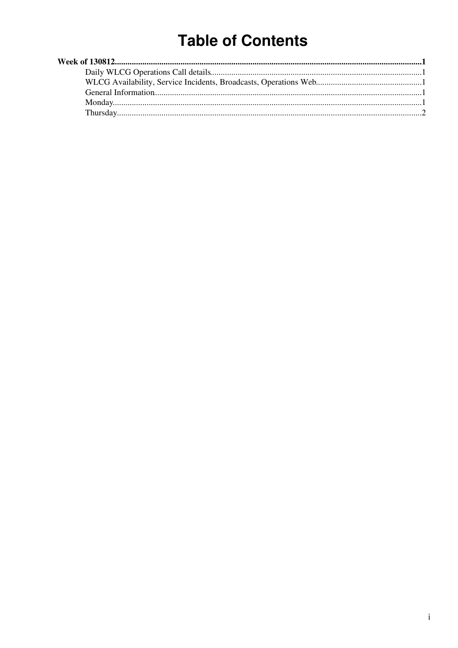# **Table of Contents**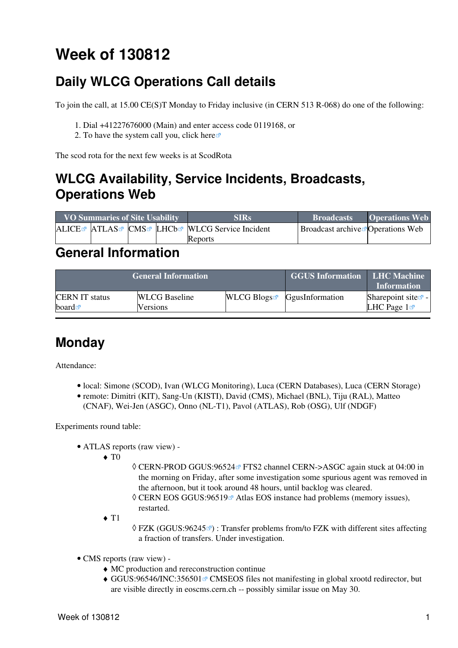## <span id="page-1-0"></span>**Week of 130812**

## <span id="page-1-1"></span>**Daily WLCG Operations Call details**

To join the call, at 15.00 CE(S)T Monday to Friday inclusive (in CERN 513 R-068) do one of the following:

- 1. Dial +41227676000 (Main) and enter access code 0119168, or
- 2. To have the system call you, click [here](https://audioconf.cern.ch/call/0119168) $\Phi$

The scod rota for the next few weeks is at [ScodRota](https://twiki.cern.ch/twiki/bin/view/LCG/ScodRota)

### <span id="page-1-2"></span>**WLCG Availability, Service Incidents, Broadcasts, Operations Web**

| <b>VO Summaries of Site Usability</b> |  |  |  | <b>SIRs</b>                                             | <b>Broadcasts</b>                             | <b>Operations Web</b> |
|---------------------------------------|--|--|--|---------------------------------------------------------|-----------------------------------------------|-----------------------|
|                                       |  |  |  | ALICE ATLAS CMS LHCb <sup>R</sup> WLCG Service Incident | Broadcast archive <sup>r</sup> Operations Web |                       |
|                                       |  |  |  | Reports                                                 |                                               |                       |

#### <span id="page-1-3"></span>**General Information**

|                       | <b>General Information</b> | <b>GGUS Information LHC Machine</b> | <b>Information</b>                        |                                |
|-----------------------|----------------------------|-------------------------------------|-------------------------------------------|--------------------------------|
| <b>CERN IT status</b> | <b>WLCG</b> Baseline       |                                     | WLCG Blogs $\blacksquare$ GgusInformation | Sharepoint site $\mathbb{F}$ - |
| board $\blacksquare$  | Versions                   |                                     |                                           | LHC Page $1\sigma$             |

### <span id="page-1-4"></span>**Monday**

Attendance:

- local: Simone (SCOD), Ivan (WLCG Monitoring), Luca (CERN Databases), Luca (CERN Storage)
- remote: Dimitri (KIT), Sang-Un (KISTI), David (CMS), Michael (BNL), Tiju ([RAL\)](https://twiki.cern.ch/twiki/bin/view/LCG/RAL), Matteo
	- (CNAF), Wei-Jen (ASGC), Onno (NL-T1), Pavol (ATLAS), Rob (OSG), Ulf (NDGF)

Experiments round table:

- ATLAS [reports](https://twiki.cern.ch/twiki/bin/view/Atlas/ADCOperationsDailyReports2013) [\(raw view\)](https://twiki.cern.ch/twiki/bin/view/Atlas/ADCOperationsDailyReports2013?raw=on) •
	- $\blacklozenge$  T<sub>0</sub>
- © CERN-PROD [GGUS:96524](https://ggus.eu/ws/ticket_info.php?ticket=96524) ™ FTS2 channel CERN->ASGC again stuck at 04:00 in the morning on Friday, after some investigation some spurious agent was removed in the afternoon, but it took around 48 hours, until backlog was cleared.
- © CERN EOS GGUS:96519<sup>®</sup> Atlas EOS instance had problems (memory issues), restarted.
- $\triangleleft$  T<sub>1</sub>
- ◊ FZK [\(GGUS:96245](https://ggus.eu/ws/ticket_info.php?ticket=96245) ø) : Transfer problems from/to FZK with different sites affecting a fraction of transfers. Under investigation.
- CMS [reports](https://twiki.cern.ch/twiki/bin/view/CMS/FacOps_WLCGdailyreports) ([raw view\)](https://twiki.cern.ch/twiki/bin/view/CMS/FacOps_WLCGdailyreports?raw=on) •
	- ♦ MC production and rereconstruction continue
	- ♦ [GGUS:96546/INC:356501](https://ggus.eu/ws/ticket_info.php?ticket=96546/INC:356501) <sup>a</sup> CMSEOS files not manifesting in global xrootd redirector, but are visible directly in eoscms.cern.ch -- possibly similar issue on May 30.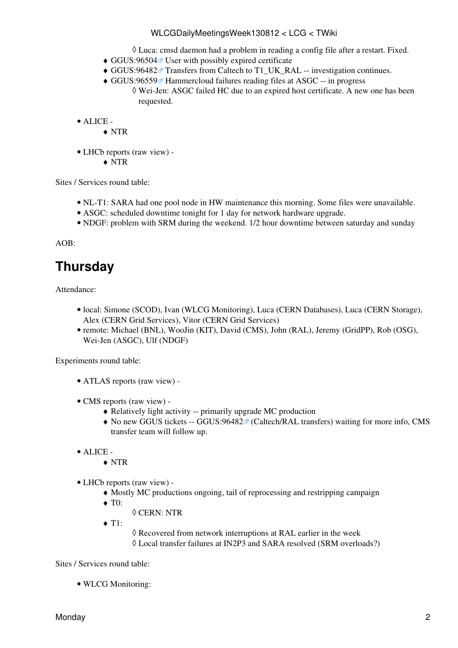#### WLCGDailyMeetingsWeek130812 < LCG < TWiki

◊ Luca: cmsd daemon had a problem in reading a config file after a restart. Fixed.

- $\triangleleft$  GGUS:96504 $\textdegree$  User with possibly expired certificate
- ◆ [GGUS:96482](https://ggus.eu/ws/ticket_info.php?ticket=96482) Transfers from Caltech to T1\_UK\_RAL -- investigation continues.
- ◆ [GGUS:96559](https://ggus.eu/ws/ticket_info.php?ticket=96559) <sup>a</sup> Hammercloud failures reading files at ASGC -- in progress Wei-Jen: ASGC failed HC due to an expired host certificate. A new one has been ◊ requested.

ALICE - •

♦ NTR

- LHCb [reports](https://twiki.cern.ch/twiki/bin/view/LHCb/ProductionOperationsWLCGdailyReports) [\(raw view\)](https://twiki.cern.ch/twiki/bin/view/LHCb/ProductionOperationsWLCGdailyReports?raw=on) •
	- ♦ NTR

Sites / Services round table:

- NL-T1: SARA had one pool node in HW maintenance this morning. Some files were unavailable.
- ASGC: scheduled downtime tonight for 1 day for network hardware upgrade.
- NDGF: problem with SRM during the weekend. 1/2 hour downtime between saturday and sunday

AOB:

### <span id="page-2-0"></span>**Thursday**

Attendance:

- · local: Simone (SCOD), Ivan (WLCG Monitoring), Luca (CERN Databases), Luca (CERN Storage), Alex (CERN Grid Services), Vitor (CERN Grid Services)
- remote: Michael (BNL), WooJin (KIT), David (CMS), John ([RAL\)](https://twiki.cern.ch/twiki/bin/view/LCG/RAL), Jeremy [\(GridPP\)](https://twiki.cern.ch/twiki/bin/view/LCG/GridPP), Rob (OSG), Wei-Jen (ASGC), Ulf (NDGF)

Experiments round table:

- ATLAS [reports](https://twiki.cern.ch/twiki/bin/view/Atlas/ADCOperationsDailyReports2013) [\(raw view\)](https://twiki.cern.ch/twiki/bin/view/Atlas/ADCOperationsDailyReports2013?raw=on) -
- CMS [reports](https://twiki.cern.ch/twiki/bin/view/CMS/FacOps_WLCGdailyreports) ([raw view\)](https://twiki.cern.ch/twiki/bin/view/CMS/FacOps_WLCGdailyreports?raw=on) -
	- ♦ Relatively light activity -- primarily upgrade MC production
	- $\blacklozenge$  No new GGUS tickets -- [GGUS:96482](https://ggus.eu/ws/ticket_info.php?ticket=96482)<sup>®</sup> (Caltech/RAL transfers) waiting for more info, CMS transfer team will follow up.
- ALICE •
	- ♦ NTR
- LHCb [reports](https://twiki.cern.ch/twiki/bin/view/LHCb/ProductionOperationsWLCGdailyReports) [\(raw view\)](https://twiki.cern.ch/twiki/bin/view/LHCb/ProductionOperationsWLCGdailyReports?raw=on) •
	- ♦ Mostly MC productions ongoing, tail of reprocessing and restripping campaign
	- ◆ T<sub>0</sub>:
		- ◊ CERN: NTR
	- $\triangleleft$  T1:

 $\Diamond$  Recovered from network interruptions at [RAL](https://twiki.cern.ch/twiki/bin/view/LCG/RAL) earlier in the week ◊ Local transfer failures at [IN2P3](https://twiki.cern.ch/twiki/bin/view/LCG/IN2P3) and SARA resolved (SRM overloads?)

Sites / Services round table:

• WLCG Monitoring: